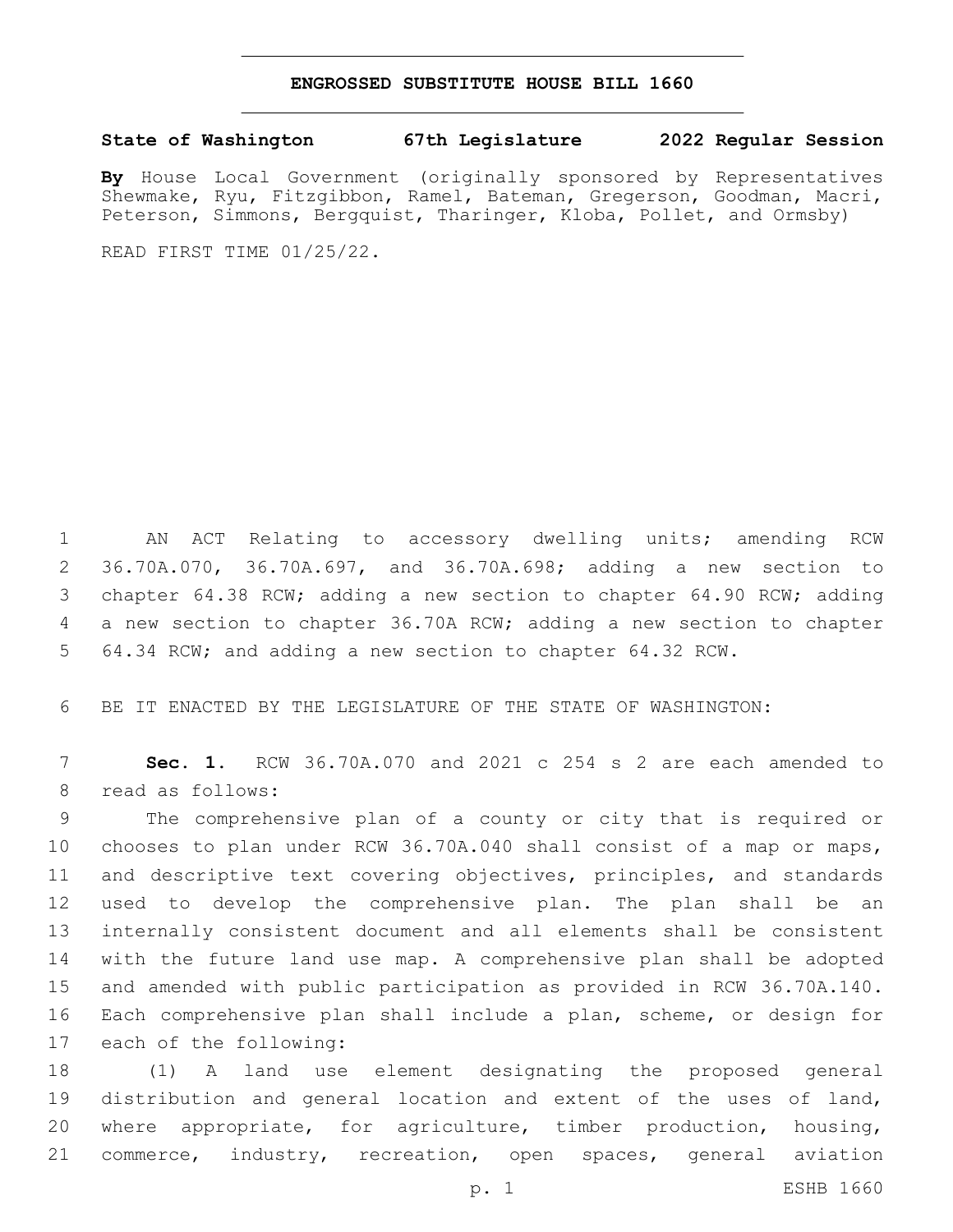## **ENGROSSED SUBSTITUTE HOUSE BILL 1660**

## **State of Washington 67th Legislature 2022 Regular Session**

**By** House Local Government (originally sponsored by Representatives Shewmake, Ryu, Fitzgibbon, Ramel, Bateman, Gregerson, Goodman, Macri, Peterson, Simmons, Bergquist, Tharinger, Kloba, Pollet, and Ormsby)

READ FIRST TIME 01/25/22.

 AN ACT Relating to accessory dwelling units; amending RCW 36.70A.070, 36.70A.697, and 36.70A.698; adding a new section to chapter 64.38 RCW; adding a new section to chapter 64.90 RCW; adding a new section to chapter 36.70A RCW; adding a new section to chapter 64.34 RCW; and adding a new section to chapter 64.32 RCW.

BE IT ENACTED BY THE LEGISLATURE OF THE STATE OF WASHINGTON:

 **Sec. 1.** RCW 36.70A.070 and 2021 c 254 s 2 are each amended to 8 read as follows:

 The comprehensive plan of a county or city that is required or chooses to plan under RCW 36.70A.040 shall consist of a map or maps, and descriptive text covering objectives, principles, and standards used to develop the comprehensive plan. The plan shall be an internally consistent document and all elements shall be consistent with the future land use map. A comprehensive plan shall be adopted and amended with public participation as provided in RCW 36.70A.140. Each comprehensive plan shall include a plan, scheme, or design for 17 each of the following:

 (1) A land use element designating the proposed general distribution and general location and extent of the uses of land, where appropriate, for agriculture, timber production, housing, commerce, industry, recreation, open spaces, general aviation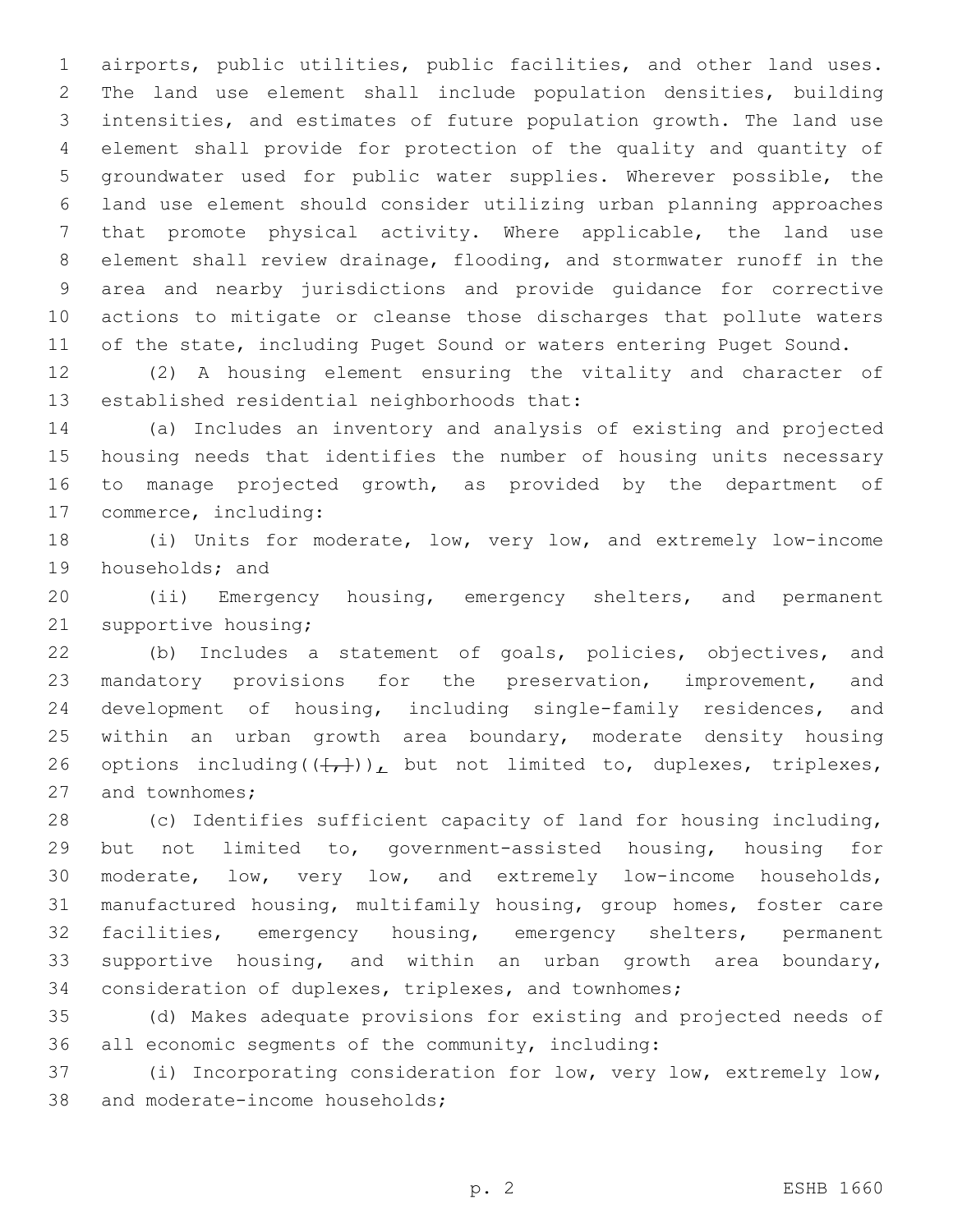airports, public utilities, public facilities, and other land uses. The land use element shall include population densities, building intensities, and estimates of future population growth. The land use element shall provide for protection of the quality and quantity of groundwater used for public water supplies. Wherever possible, the land use element should consider utilizing urban planning approaches that promote physical activity. Where applicable, the land use element shall review drainage, flooding, and stormwater runoff in the area and nearby jurisdictions and provide guidance for corrective actions to mitigate or cleanse those discharges that pollute waters of the state, including Puget Sound or waters entering Puget Sound.

 (2) A housing element ensuring the vitality and character of 13 established residential neighborhoods that:

 (a) Includes an inventory and analysis of existing and projected housing needs that identifies the number of housing units necessary to manage projected growth, as provided by the department of 17 commerce, including:

 (i) Units for moderate, low, very low, and extremely low-income 19 households; and

 (ii) Emergency housing, emergency shelters, and permanent 21 supportive housing;

 (b) Includes a statement of goals, policies, objectives, and mandatory provisions for the preservation, improvement, and development of housing, including single-family residences, and 25 within an urban growth area boundary, moderate density housing 26 options including( $(\frac{1}{t+1})$ ), but not limited to, duplexes, triplexes, 27 and townhomes;

 (c) Identifies sufficient capacity of land for housing including, but not limited to, government-assisted housing, housing for moderate, low, very low, and extremely low-income households, manufactured housing, multifamily housing, group homes, foster care facilities, emergency housing, emergency shelters, permanent supportive housing, and within an urban growth area boundary, consideration of duplexes, triplexes, and townhomes;

 (d) Makes adequate provisions for existing and projected needs of all economic segments of the community, including:

 (i) Incorporating consideration for low, very low, extremely low, 38 and moderate-income households;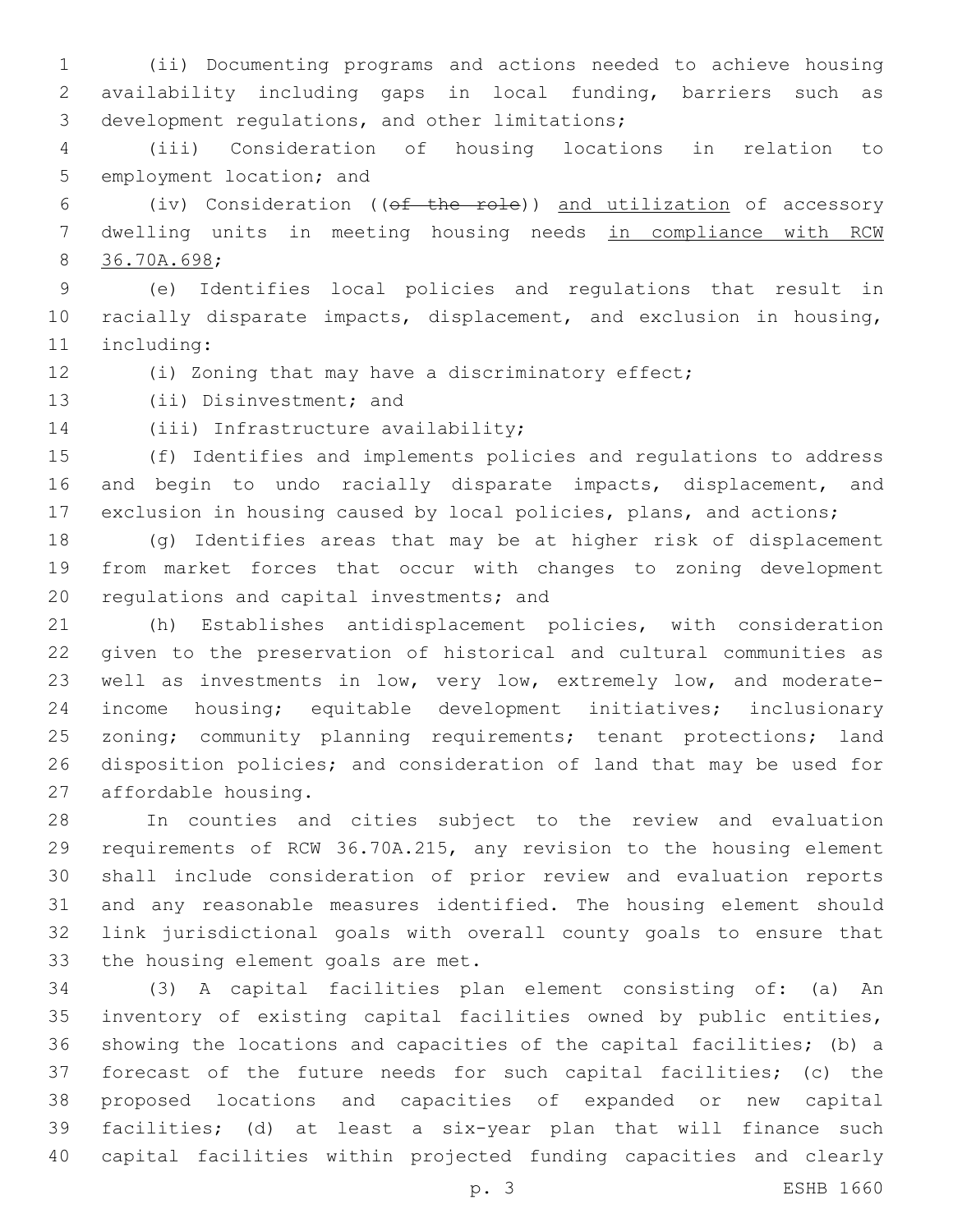(ii) Documenting programs and actions needed to achieve housing availability including gaps in local funding, barriers such as 3 development regulations, and other limitations;

 (iii) Consideration of housing locations in relation to 5 employment location; and

 (iv) Consideration ((of the role)) and utilization of accessory dwelling units in meeting housing needs in compliance with RCW 8 36.70A.698;

 (e) Identifies local policies and regulations that result in racially disparate impacts, displacement, and exclusion in housing, 11 including:

(i) Zoning that may have a discriminatory effect;

13 (ii) Disinvestment; and

14 (iii) Infrastructure availability;

 (f) Identifies and implements policies and regulations to address and begin to undo racially disparate impacts, displacement, and exclusion in housing caused by local policies, plans, and actions;

 (g) Identifies areas that may be at higher risk of displacement from market forces that occur with changes to zoning development 20 regulations and capital investments; and

 (h) Establishes antidisplacement policies, with consideration given to the preservation of historical and cultural communities as well as investments in low, very low, extremely low, and moderate- income housing; equitable development initiatives; inclusionary 25 zoning; community planning requirements; tenant protections; land disposition policies; and consideration of land that may be used for affordable housing.27

 In counties and cities subject to the review and evaluation requirements of RCW 36.70A.215, any revision to the housing element shall include consideration of prior review and evaluation reports and any reasonable measures identified. The housing element should link jurisdictional goals with overall county goals to ensure that 33 the housing element goals are met.

 (3) A capital facilities plan element consisting of: (a) An inventory of existing capital facilities owned by public entities, showing the locations and capacities of the capital facilities; (b) a forecast of the future needs for such capital facilities; (c) the proposed locations and capacities of expanded or new capital facilities; (d) at least a six-year plan that will finance such capital facilities within projected funding capacities and clearly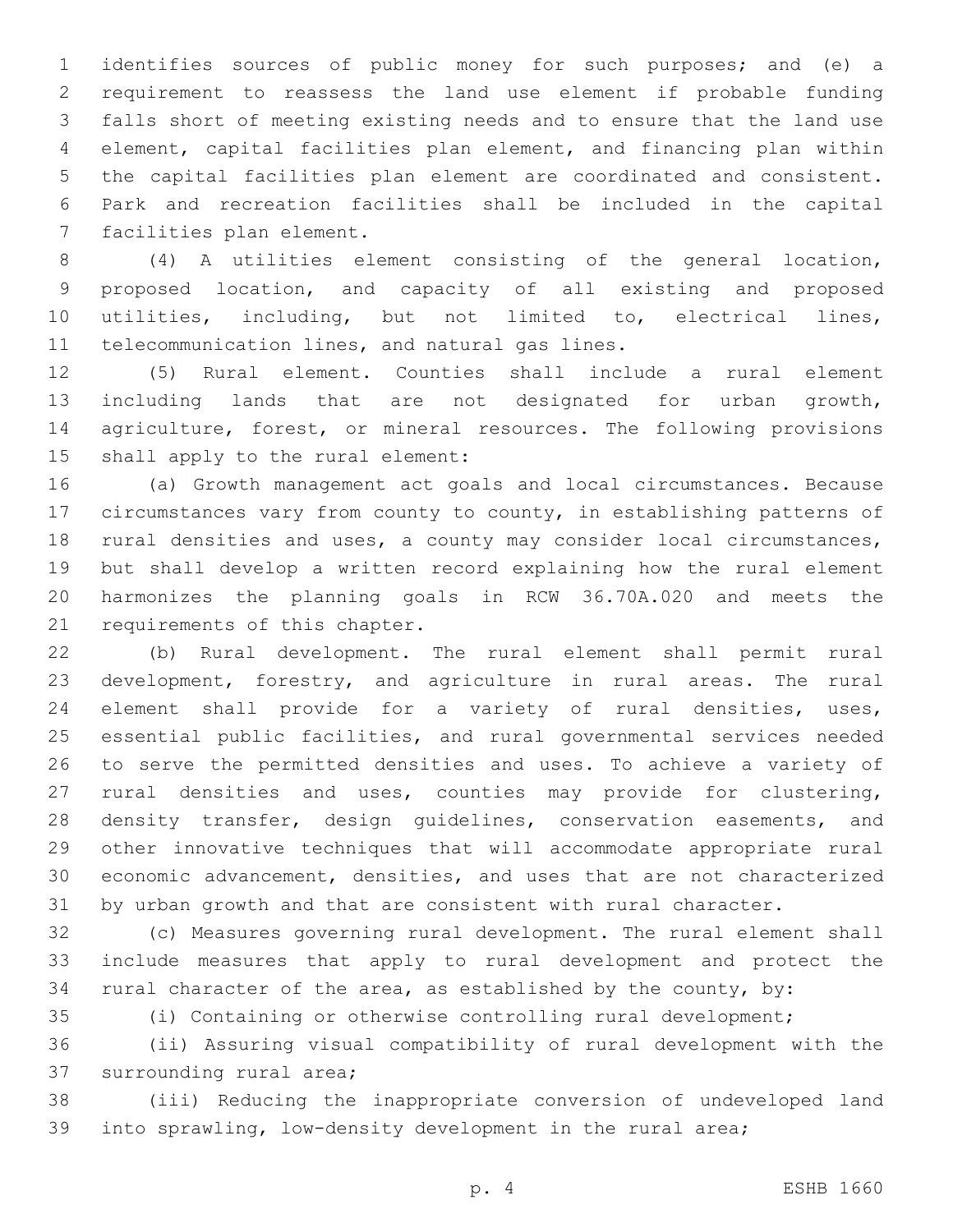identifies sources of public money for such purposes; and (e) a requirement to reassess the land use element if probable funding falls short of meeting existing needs and to ensure that the land use element, capital facilities plan element, and financing plan within the capital facilities plan element are coordinated and consistent. Park and recreation facilities shall be included in the capital 7 facilities plan element.

 (4) A utilities element consisting of the general location, proposed location, and capacity of all existing and proposed utilities, including, but not limited to, electrical lines, 11 telecommunication lines, and natural gas lines.

 (5) Rural element. Counties shall include a rural element including lands that are not designated for urban growth, agriculture, forest, or mineral resources. The following provisions 15 shall apply to the rural element:

 (a) Growth management act goals and local circumstances. Because circumstances vary from county to county, in establishing patterns of rural densities and uses, a county may consider local circumstances, but shall develop a written record explaining how the rural element harmonizes the planning goals in RCW 36.70A.020 and meets the 21 requirements of this chapter.

 (b) Rural development. The rural element shall permit rural development, forestry, and agriculture in rural areas. The rural element shall provide for a variety of rural densities, uses, essential public facilities, and rural governmental services needed to serve the permitted densities and uses. To achieve a variety of rural densities and uses, counties may provide for clustering, 28 density transfer, design guidelines, conservation easements, and other innovative techniques that will accommodate appropriate rural economic advancement, densities, and uses that are not characterized by urban growth and that are consistent with rural character.

 (c) Measures governing rural development. The rural element shall include measures that apply to rural development and protect the rural character of the area, as established by the county, by:

(i) Containing or otherwise controlling rural development;

 (ii) Assuring visual compatibility of rural development with the 37 surrounding rural area;

 (iii) Reducing the inappropriate conversion of undeveloped land into sprawling, low-density development in the rural area;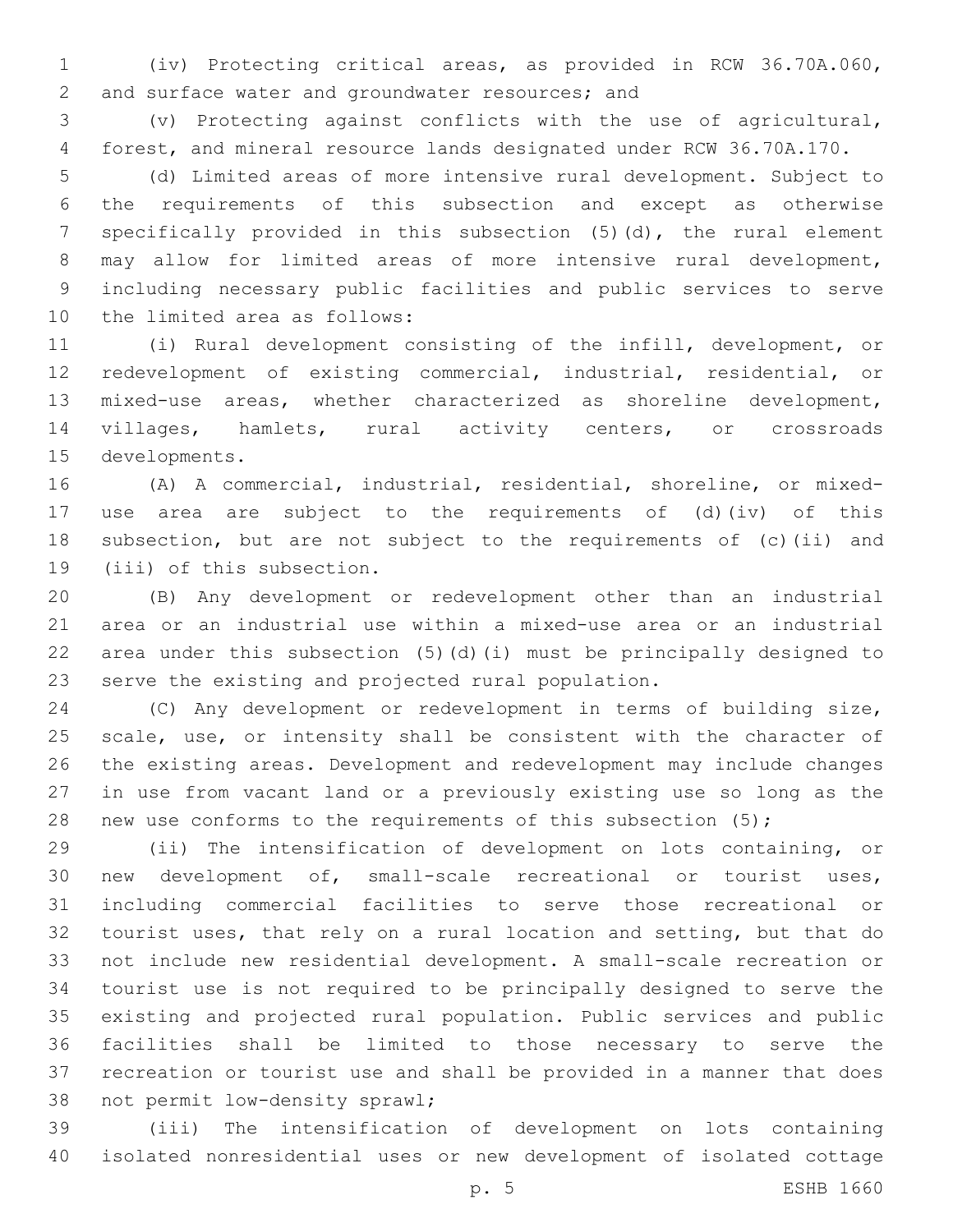(iv) Protecting critical areas, as provided in RCW 36.70A.060, 2 and surface water and groundwater resources; and

 (v) Protecting against conflicts with the use of agricultural, forest, and mineral resource lands designated under RCW 36.70A.170.

 (d) Limited areas of more intensive rural development. Subject to the requirements of this subsection and except as otherwise 7 specifically provided in this subsection (5)(d), the rural element may allow for limited areas of more intensive rural development, including necessary public facilities and public services to serve 10 the limited area as follows:

 (i) Rural development consisting of the infill, development, or redevelopment of existing commercial, industrial, residential, or mixed-use areas, whether characterized as shoreline development, villages, hamlets, rural activity centers, or crossroads 15 developments.

 (A) A commercial, industrial, residential, shoreline, or mixed- use area are subject to the requirements of (d)(iv) of this subsection, but are not subject to the requirements of (c)(ii) and 19 (iii) of this subsection.

 (B) Any development or redevelopment other than an industrial area or an industrial use within a mixed-use area or an industrial area under this subsection (5)(d)(i) must be principally designed to serve the existing and projected rural population.

 (C) Any development or redevelopment in terms of building size, 25 scale, use, or intensity shall be consistent with the character of the existing areas. Development and redevelopment may include changes in use from vacant land or a previously existing use so long as the 28 new use conforms to the requirements of this subsection  $(5)$ ;

 (ii) The intensification of development on lots containing, or new development of, small-scale recreational or tourist uses, including commercial facilities to serve those recreational or tourist uses, that rely on a rural location and setting, but that do not include new residential development. A small-scale recreation or tourist use is not required to be principally designed to serve the existing and projected rural population. Public services and public facilities shall be limited to those necessary to serve the recreation or tourist use and shall be provided in a manner that does 38 not permit low-density sprawl;

 (iii) The intensification of development on lots containing isolated nonresidential uses or new development of isolated cottage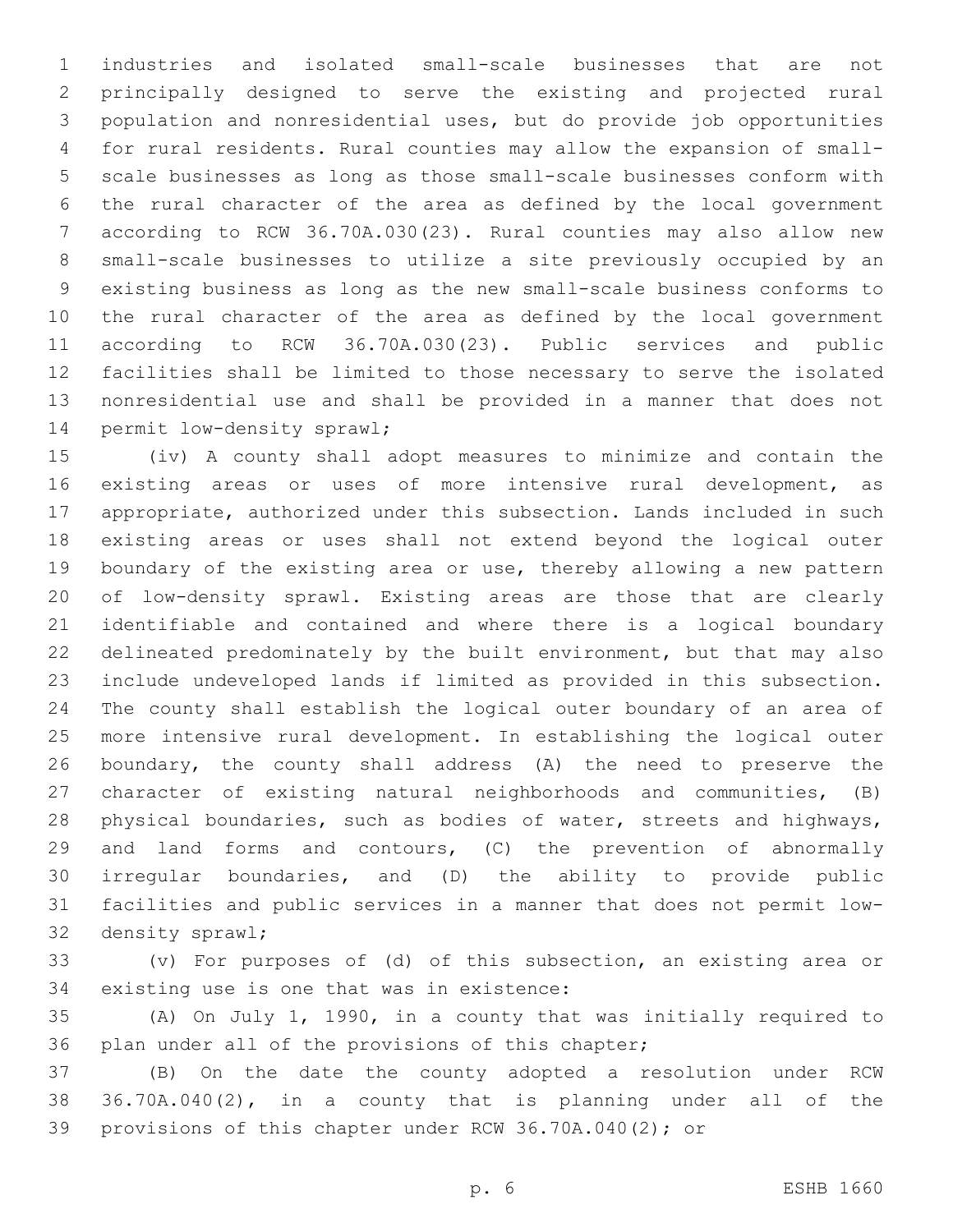industries and isolated small-scale businesses that are not principally designed to serve the existing and projected rural population and nonresidential uses, but do provide job opportunities for rural residents. Rural counties may allow the expansion of small- scale businesses as long as those small-scale businesses conform with the rural character of the area as defined by the local government according to RCW 36.70A.030(23). Rural counties may also allow new small-scale businesses to utilize a site previously occupied by an existing business as long as the new small-scale business conforms to the rural character of the area as defined by the local government according to RCW 36.70A.030(23). Public services and public facilities shall be limited to those necessary to serve the isolated nonresidential use and shall be provided in a manner that does not 14 permit low-density sprawl;

 (iv) A county shall adopt measures to minimize and contain the existing areas or uses of more intensive rural development, as appropriate, authorized under this subsection. Lands included in such existing areas or uses shall not extend beyond the logical outer boundary of the existing area or use, thereby allowing a new pattern of low-density sprawl. Existing areas are those that are clearly identifiable and contained and where there is a logical boundary delineated predominately by the built environment, but that may also include undeveloped lands if limited as provided in this subsection. The county shall establish the logical outer boundary of an area of more intensive rural development. In establishing the logical outer boundary, the county shall address (A) the need to preserve the character of existing natural neighborhoods and communities, (B) physical boundaries, such as bodies of water, streets and highways, and land forms and contours, (C) the prevention of abnormally irregular boundaries, and (D) the ability to provide public facilities and public services in a manner that does not permit low-32 density sprawl;

 (v) For purposes of (d) of this subsection, an existing area or 34 existing use is one that was in existence:

 (A) On July 1, 1990, in a county that was initially required to 36 plan under all of the provisions of this chapter;

 (B) On the date the county adopted a resolution under RCW 36.70A.040(2), in a county that is planning under all of the provisions of this chapter under RCW 36.70A.040(2); or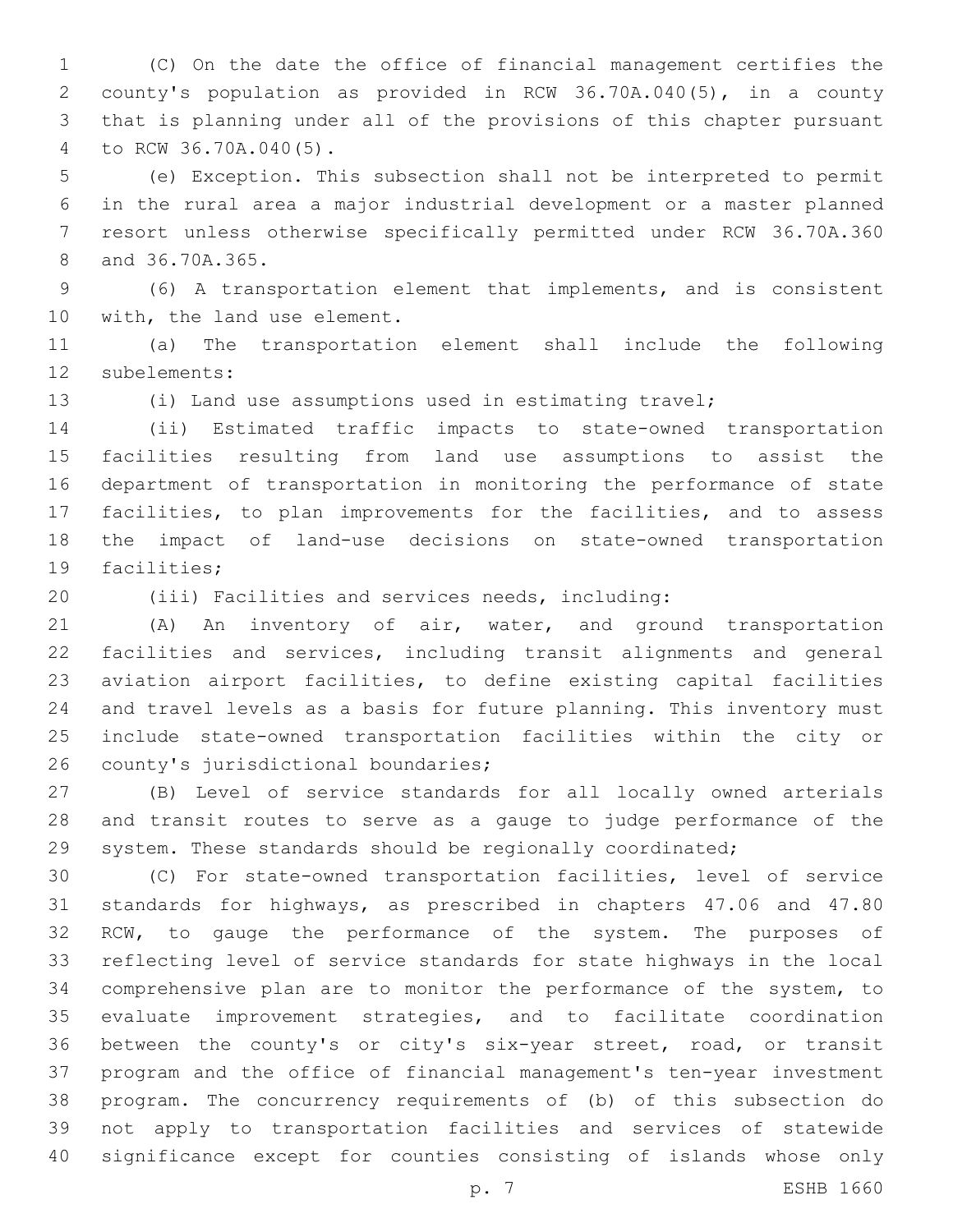(C) On the date the office of financial management certifies the county's population as provided in RCW 36.70A.040(5), in a county that is planning under all of the provisions of this chapter pursuant to RCW 36.70A.040(5).4

 (e) Exception. This subsection shall not be interpreted to permit in the rural area a major industrial development or a master planned resort unless otherwise specifically permitted under RCW 36.70A.360 8 and 36.70A.365.

 (6) A transportation element that implements, and is consistent 10 with, the land use element.

 (a) The transportation element shall include the following 12 subelements:

(i) Land use assumptions used in estimating travel;

 (ii) Estimated traffic impacts to state-owned transportation facilities resulting from land use assumptions to assist the department of transportation in monitoring the performance of state facilities, to plan improvements for the facilities, and to assess the impact of land-use decisions on state-owned transportation 19 facilities;

(iii) Facilities and services needs, including:

 (A) An inventory of air, water, and ground transportation facilities and services, including transit alignments and general aviation airport facilities, to define existing capital facilities and travel levels as a basis for future planning. This inventory must include state-owned transportation facilities within the city or 26 county's jurisdictional boundaries;

 (B) Level of service standards for all locally owned arterials and transit routes to serve as a gauge to judge performance of the system. These standards should be regionally coordinated;

 (C) For state-owned transportation facilities, level of service standards for highways, as prescribed in chapters 47.06 and 47.80 32 RCW, to gauge the performance of the system. The purposes of reflecting level of service standards for state highways in the local comprehensive plan are to monitor the performance of the system, to evaluate improvement strategies, and to facilitate coordination between the county's or city's six-year street, road, or transit program and the office of financial management's ten-year investment program. The concurrency requirements of (b) of this subsection do not apply to transportation facilities and services of statewide significance except for counties consisting of islands whose only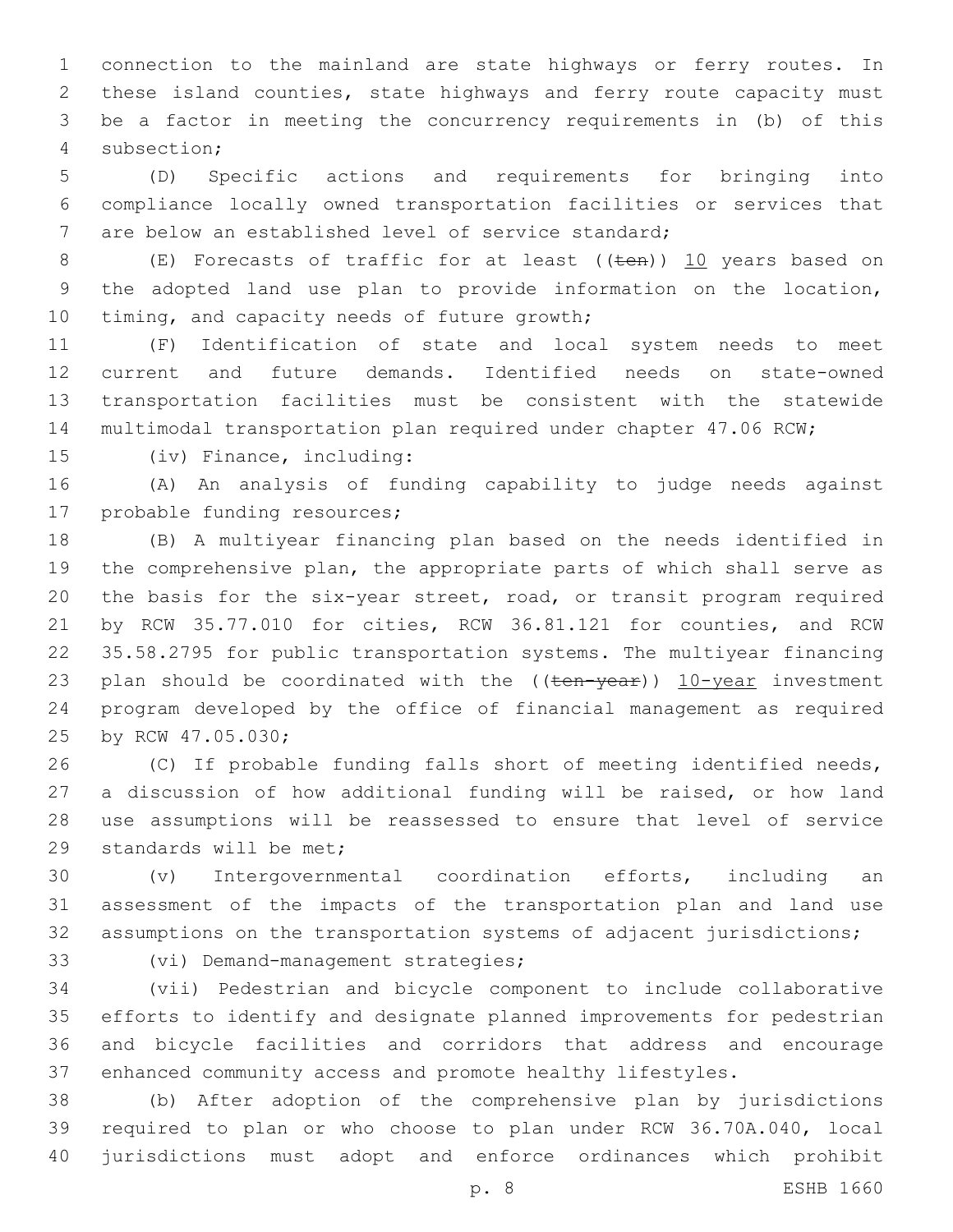connection to the mainland are state highways or ferry routes. In these island counties, state highways and ferry route capacity must be a factor in meeting the concurrency requirements in (b) of this 4 subsection:

 (D) Specific actions and requirements for bringing into compliance locally owned transportation facilities or services that are below an established level of service standard;

8 (E) Forecasts of traffic for at least ((ten)) 10 years based on the adopted land use plan to provide information on the location, 10 timing, and capacity needs of future growth;

 (F) Identification of state and local system needs to meet current and future demands. Identified needs on state-owned transportation facilities must be consistent with the statewide multimodal transportation plan required under chapter 47.06 RCW;

15 (iv) Finance, including:

 (A) An analysis of funding capability to judge needs against 17 probable funding resources;

 (B) A multiyear financing plan based on the needs identified in the comprehensive plan, the appropriate parts of which shall serve as the basis for the six-year street, road, or transit program required by RCW 35.77.010 for cities, RCW 36.81.121 for counties, and RCW 35.58.2795 for public transportation systems. The multiyear financing 23 plan should be coordinated with the  $((\text{ten}-\text{year}))$  10-year investment program developed by the office of financial management as required 25 by RCW 47.05.030;

 (C) If probable funding falls short of meeting identified needs, a discussion of how additional funding will be raised, or how land use assumptions will be reassessed to ensure that level of service 29 standards will be met;

 (v) Intergovernmental coordination efforts, including an assessment of the impacts of the transportation plan and land use assumptions on the transportation systems of adjacent jurisdictions;

33 (vi) Demand-management strategies;

 (vii) Pedestrian and bicycle component to include collaborative efforts to identify and designate planned improvements for pedestrian and bicycle facilities and corridors that address and encourage enhanced community access and promote healthy lifestyles.

 (b) After adoption of the comprehensive plan by jurisdictions required to plan or who choose to plan under RCW 36.70A.040, local jurisdictions must adopt and enforce ordinances which prohibit

p. 8 ESHB 1660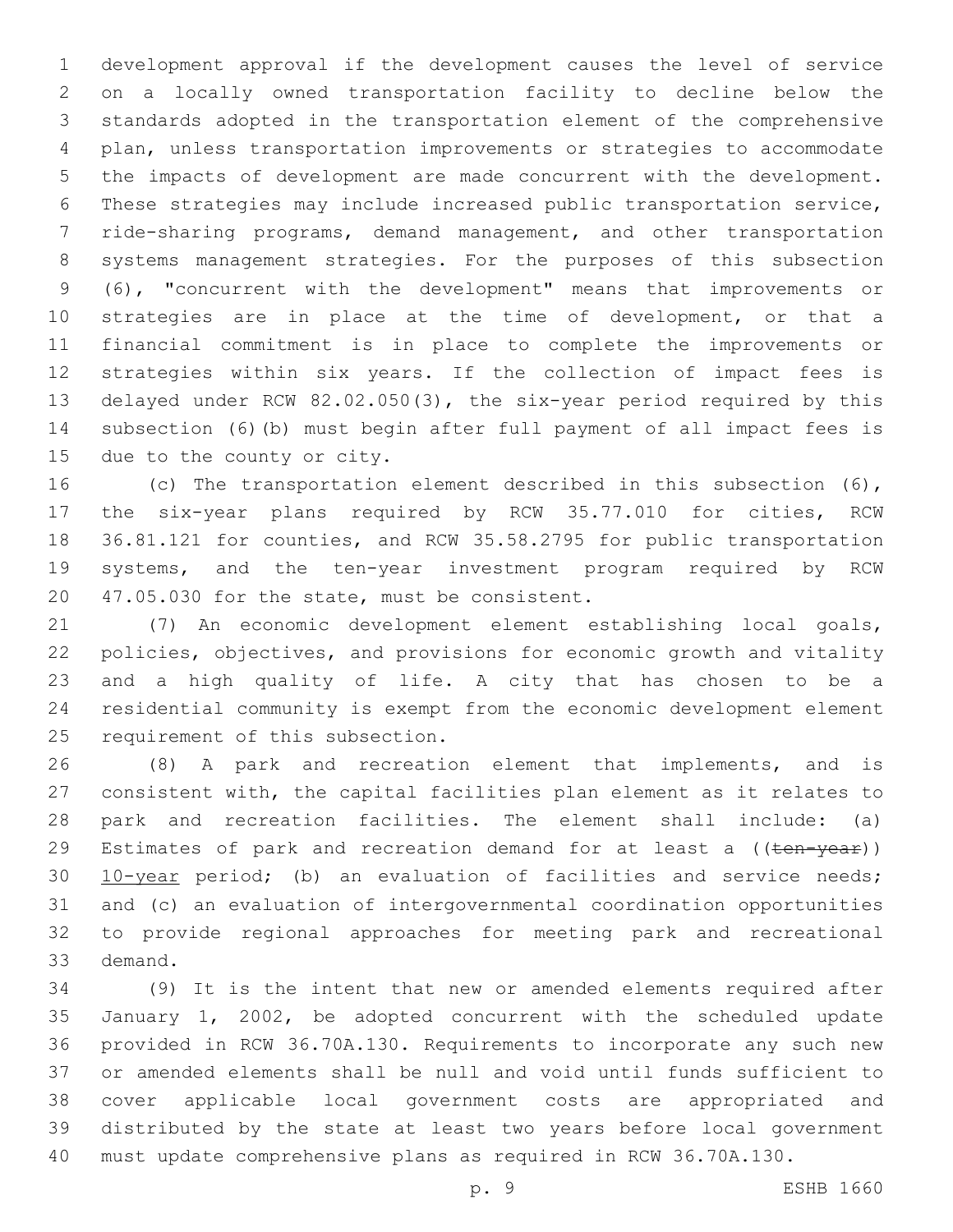development approval if the development causes the level of service on a locally owned transportation facility to decline below the standards adopted in the transportation element of the comprehensive plan, unless transportation improvements or strategies to accommodate the impacts of development are made concurrent with the development. These strategies may include increased public transportation service, ride-sharing programs, demand management, and other transportation systems management strategies. For the purposes of this subsection (6), "concurrent with the development" means that improvements or strategies are in place at the time of development, or that a financial commitment is in place to complete the improvements or strategies within six years. If the collection of impact fees is delayed under RCW 82.02.050(3), the six-year period required by this subsection (6)(b) must begin after full payment of all impact fees is 15 due to the county or city.

 (c) The transportation element described in this subsection (6), the six-year plans required by RCW 35.77.010 for cities, RCW 36.81.121 for counties, and RCW 35.58.2795 for public transportation systems, and the ten-year investment program required by RCW 20 47.05.030 for the state, must be consistent.

 (7) An economic development element establishing local goals, policies, objectives, and provisions for economic growth and vitality and a high quality of life. A city that has chosen to be a residential community is exempt from the economic development element 25 requirement of this subsection.

 (8) A park and recreation element that implements, and is consistent with, the capital facilities plan element as it relates to park and recreation facilities. The element shall include: (a) 29 Estimates of park and recreation demand for at least a ((ten-year)) 10-year period; (b) an evaluation of facilities and service needs; and (c) an evaluation of intergovernmental coordination opportunities to provide regional approaches for meeting park and recreational 33 demand.

 (9) It is the intent that new or amended elements required after January 1, 2002, be adopted concurrent with the scheduled update provided in RCW 36.70A.130. Requirements to incorporate any such new or amended elements shall be null and void until funds sufficient to cover applicable local government costs are appropriated and distributed by the state at least two years before local government must update comprehensive plans as required in RCW 36.70A.130.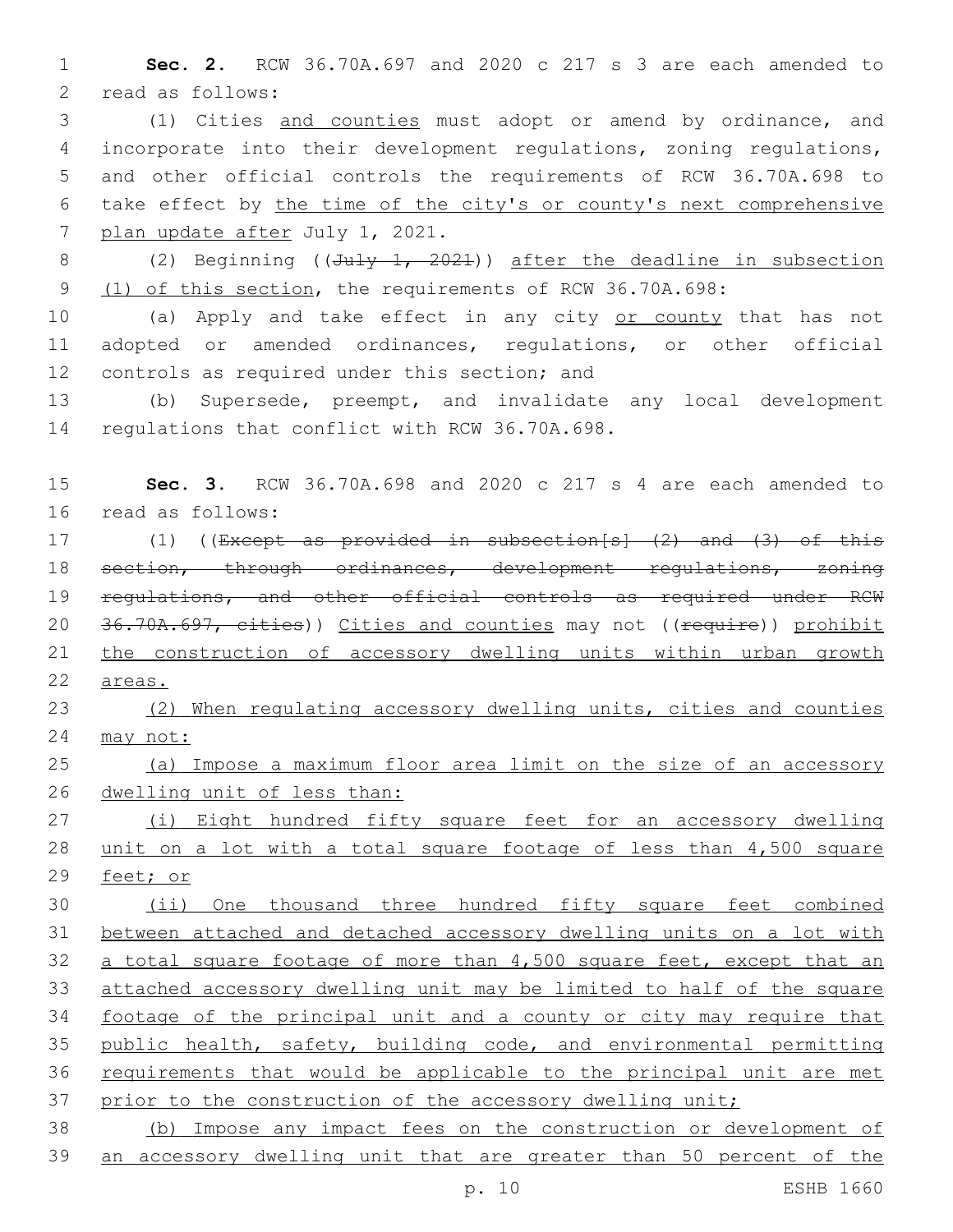**Sec. 2.** RCW 36.70A.697 and 2020 c 217 s 3 are each amended to 2 read as follows:

 (1) Cities and counties must adopt or amend by ordinance, and incorporate into their development regulations, zoning regulations, and other official controls the requirements of RCW 36.70A.698 to take effect by the time of the city's or county's next comprehensive 7 plan update after July 1, 2021.

8 (2) Beginning ((July 1, 2021)) after the deadline in subsection (1) of this section, the requirements of RCW 36.70A.698:

10 (a) Apply and take effect in any city or county that has not adopted or amended ordinances, regulations, or other official 12 controls as required under this section; and

 (b) Supersede, preempt, and invalidate any local development 14 regulations that conflict with RCW 36.70A.698.

 **Sec. 3.** RCW 36.70A.698 and 2020 c 217 s 4 are each amended to 16 read as follows:

17 (1) ((Except as provided in subsection[s] (2) and (3) of this section, through ordinances, development regulations, zoning regulations, and other official controls as required under RCW 20 36.70A.697, cities)) Cities and counties may not ((require)) prohibit the construction of accessory dwelling units within urban growth areas.

 (2) When regulating accessory dwelling units, cities and counties 24 may not:

 (a) Impose a maximum floor area limit on the size of an accessory dwelling unit of less than:

 (i) Eight hundred fifty square feet for an accessory dwelling unit on a lot with a total square footage of less than 4,500 square feet; or

 (ii) One thousand three hundred fifty square feet combined between attached and detached accessory dwelling units on a lot with 32 a total square footage of more than 4,500 square feet, except that an attached accessory dwelling unit may be limited to half of the square footage of the principal unit and a county or city may require that 35 public health, safety, building code, and environmental permitting 36 requirements that would be applicable to the principal unit are met 37 prior to the construction of the accessory dwelling unit;

 (b) Impose any impact fees on the construction or development of an accessory dwelling unit that are greater than 50 percent of the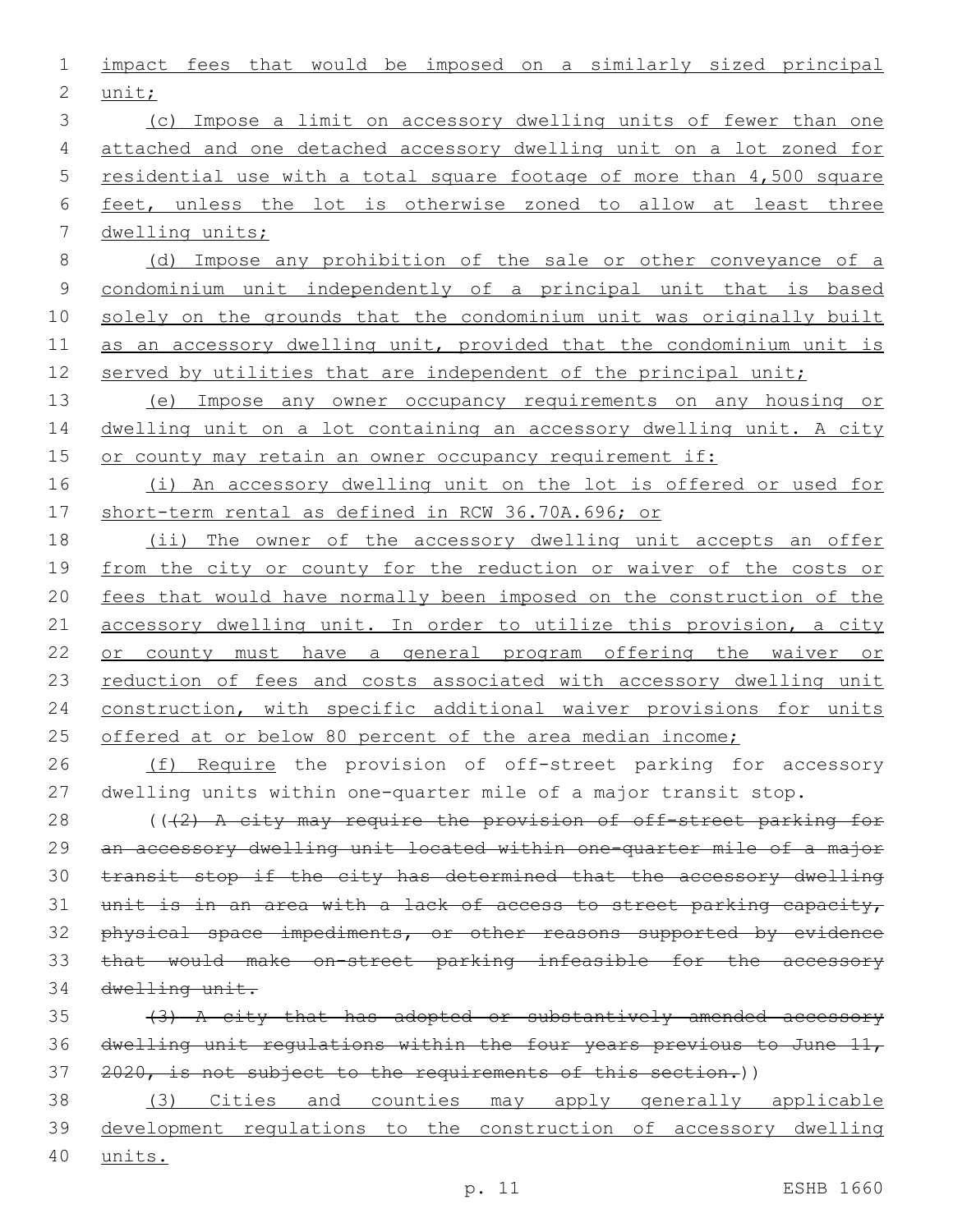impact fees that would be imposed on a similarly sized principal 2 unit;

 (c) Impose a limit on accessory dwelling units of fewer than one attached and one detached accessory dwelling unit on a lot zoned for residential use with a total square footage of more than 4,500 square feet, unless the lot is otherwise zoned to allow at least three dwelling units;

 (d) Impose any prohibition of the sale or other conveyance of a condominium unit independently of a principal unit that is based 10 solely on the grounds that the condominium unit was originally built as an accessory dwelling unit, provided that the condominium unit is 12 served by utilities that are independent of the principal unit;

 (e) Impose any owner occupancy requirements on any housing or 14 dwelling unit on a lot containing an accessory dwelling unit. A city 15 or county may retain an owner occupancy requirement if:

 (i) An accessory dwelling unit on the lot is offered or used for short-term rental as defined in RCW 36.70A.696; or

 (ii) The owner of the accessory dwelling unit accepts an offer 19 from the city or county for the reduction or waiver of the costs or fees that would have normally been imposed on the construction of the 21 accessory dwelling unit. In order to utilize this provision, a city or county must have a general program offering the waiver or 23 reduction of fees and costs associated with accessory dwelling unit construction, with specific additional waiver provisions for units 25 offered at or below 80 percent of the area median income;

26 (f) Require the provision of off-street parking for accessory dwelling units within one-quarter mile of a major transit stop.

28 (((2) A city may require the provision of off-street parking for an accessory dwelling unit located within one-quarter mile of a major transit stop if the city has determined that the accessory dwelling 31 unit is in an area with a lack of access to street parking capacity, 32 physical space impediments, or other reasons supported by evidence that would make on-street parking infeasible for the accessory dwelling unit.

 (3) A city that has adopted or substantively amended accessory dwelling unit regulations within the four years previous to June 11, 37 2020, is not subject to the requirements of this section.))

 (3) Cities and counties may apply generally applicable development regulations to the construction of accessory dwelling units.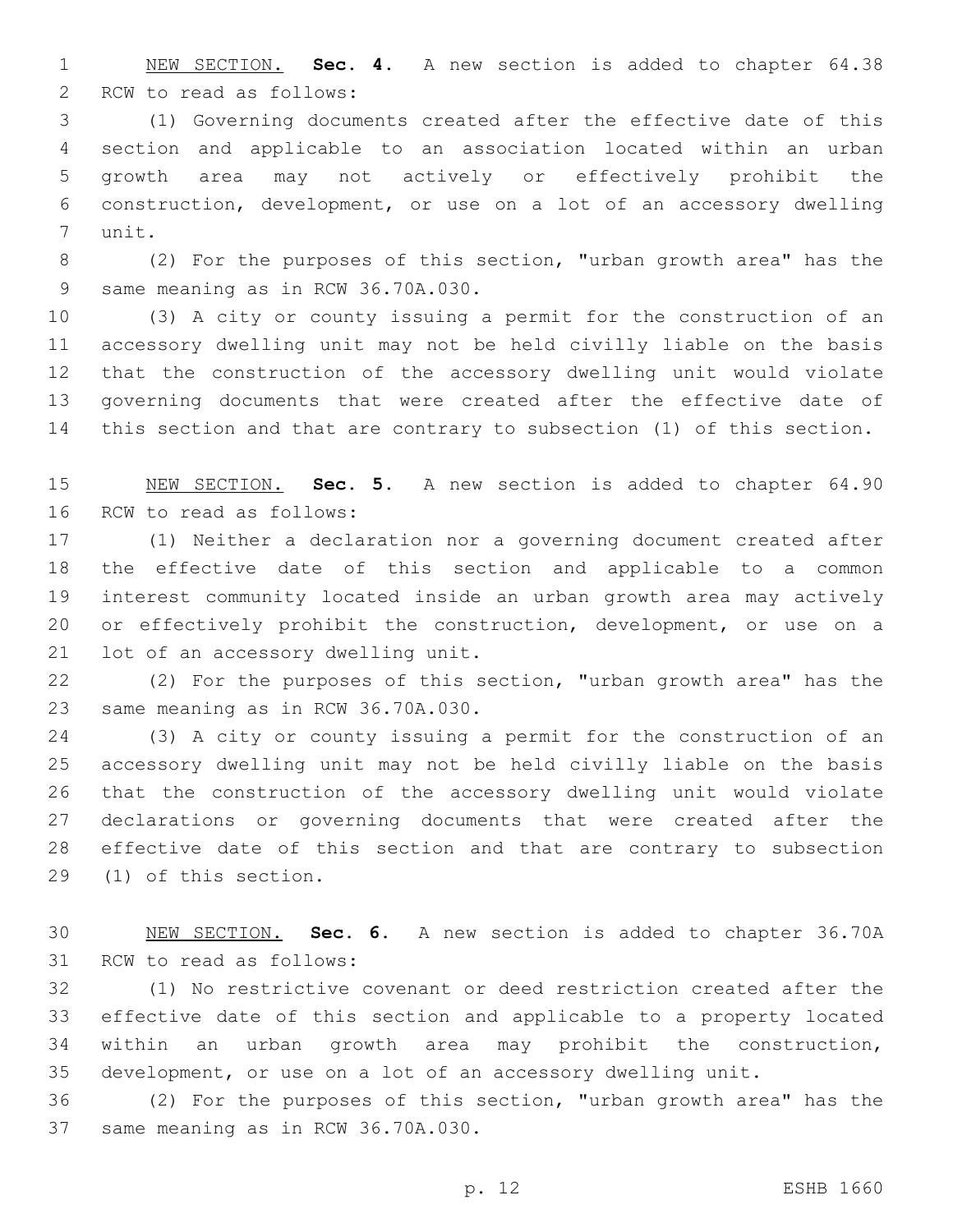NEW SECTION. **Sec. 4.** A new section is added to chapter 64.38 2 RCW to read as follows:

 (1) Governing documents created after the effective date of this section and applicable to an association located within an urban growth area may not actively or effectively prohibit the construction, development, or use on a lot of an accessory dwelling 7 unit.

 (2) For the purposes of this section, "urban growth area" has the 9 same meaning as in RCW 36.70A.030.

 (3) A city or county issuing a permit for the construction of an accessory dwelling unit may not be held civilly liable on the basis that the construction of the accessory dwelling unit would violate governing documents that were created after the effective date of this section and that are contrary to subsection (1) of this section.

 NEW SECTION. **Sec. 5.** A new section is added to chapter 64.90 16 RCW to read as follows:

 (1) Neither a declaration nor a governing document created after the effective date of this section and applicable to a common interest community located inside an urban growth area may actively or effectively prohibit the construction, development, or use on a 21 lot of an accessory dwelling unit.

 (2) For the purposes of this section, "urban growth area" has the 23 same meaning as in RCW 36.70A.030.

 (3) A city or county issuing a permit for the construction of an accessory dwelling unit may not be held civilly liable on the basis that the construction of the accessory dwelling unit would violate declarations or governing documents that were created after the effective date of this section and that are contrary to subsection 29 (1) of this section.

 NEW SECTION. **Sec. 6.** A new section is added to chapter 36.70A 31 RCW to read as follows:

 (1) No restrictive covenant or deed restriction created after the effective date of this section and applicable to a property located within an urban growth area may prohibit the construction, development, or use on a lot of an accessory dwelling unit.

 (2) For the purposes of this section, "urban growth area" has the 37 same meaning as in RCW 36.70A.030.

p. 12 ESHB 1660